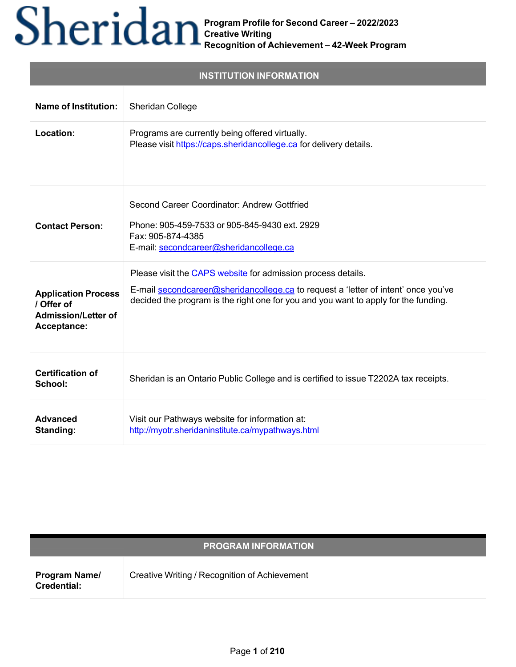| <b>INSTITUTION INFORMATION</b>                                                        |                                                                                                                                                                                                                                           |  |
|---------------------------------------------------------------------------------------|-------------------------------------------------------------------------------------------------------------------------------------------------------------------------------------------------------------------------------------------|--|
| <b>Name of Institution:</b>                                                           | Sheridan College                                                                                                                                                                                                                          |  |
| Location:                                                                             | Programs are currently being offered virtually.<br>Please visit https://caps.sheridancollege.ca for delivery details.                                                                                                                     |  |
| <b>Contact Person:</b>                                                                | Second Career Coordinator: Andrew Gottfried<br>Phone: 905-459-7533 or 905-845-9430 ext. 2929<br>Fax: 905-874-4385<br>E-mail: secondcareer@sheridancollege.ca                                                                              |  |
| <b>Application Process</b><br>/ Offer of<br><b>Admission/Letter of</b><br>Acceptance: | Please visit the CAPS website for admission process details.<br>E-mail secondcareer@sheridancollege.ca to request a 'letter of intent' once you've<br>decided the program is the right one for you and you want to apply for the funding. |  |
| <b>Certification of</b><br>School:                                                    | Sheridan is an Ontario Public College and is certified to issue T2202A tax receipts.                                                                                                                                                      |  |
| <b>Advanced</b><br>Standing:                                                          | Visit our Pathways website for information at:<br>http://myotr.sheridaninstitute.ca/mypathways.html                                                                                                                                       |  |

| <b>PROGRAM INFORMATION</b>                 |                                               |  |  |
|--------------------------------------------|-----------------------------------------------|--|--|
| <b>Program Name/</b><br><b>Credential:</b> | Creative Writing / Recognition of Achievement |  |  |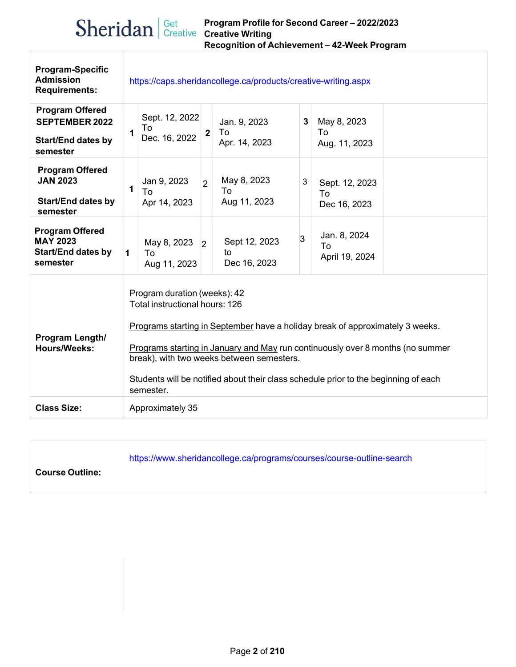| <b>Program-Specific</b><br><b>Admission</b><br><b>Requirements:</b>                      | https://caps.sheridancollege.ca/products/creative-writing.aspx |                                                                                                                                                                                                                                                                                                                                                                                    |                |                                     |   |                                      |  |
|------------------------------------------------------------------------------------------|----------------------------------------------------------------|------------------------------------------------------------------------------------------------------------------------------------------------------------------------------------------------------------------------------------------------------------------------------------------------------------------------------------------------------------------------------------|----------------|-------------------------------------|---|--------------------------------------|--|
| <b>Program Offered</b><br><b>SEPTEMBER 2022</b><br><b>Start/End dates by</b><br>semester | 1                                                              | Sept. 12, 2022<br>To<br>Dec. 16, 2022                                                                                                                                                                                                                                                                                                                                              | $\overline{2}$ | Jan. 9, 2023<br>To<br>Apr. 14, 2023 | 3 | May 8, 2023<br>To<br>Aug. 11, 2023   |  |
| <b>Program Offered</b><br><b>JAN 2023</b><br><b>Start/End dates by</b><br>semester       | 1                                                              | Jan 9, 2023<br>To<br>Apr 14, 2023                                                                                                                                                                                                                                                                                                                                                  | $\overline{2}$ | May 8, 2023<br>To<br>Aug 11, 2023   | 3 | Sept. 12, 2023<br>To<br>Dec 16, 2023 |  |
| <b>Program Offered</b><br><b>MAY 2023</b><br><b>Start/End dates by</b><br>semester       | 1                                                              | May 8, 2023<br>To<br>Aug 11, 2023                                                                                                                                                                                                                                                                                                                                                  | $\overline{2}$ | Sept 12, 2023<br>to<br>Dec 16, 2023 | 3 | Jan. 8, 2024<br>To<br>April 19, 2024 |  |
| Program Length/<br><b>Hours/Weeks:</b>                                                   |                                                                | Program duration (weeks): 42<br>Total instructional hours: 126<br>Programs starting in September have a holiday break of approximately 3 weeks.<br>Programs starting in January and May run continuously over 8 months (no summer<br>break), with two weeks between semesters.<br>Students will be notified about their class schedule prior to the beginning of each<br>semester. |                |                                     |   |                                      |  |
| <b>Class Size:</b>                                                                       |                                                                | Approximately 35                                                                                                                                                                                                                                                                                                                                                                   |                |                                     |   |                                      |  |

https:[//www.sheridancollege.ca/programs/courses/course-outline-search](http://www.sheridancollege.ca/programs/courses/course-outline-search)

**Course Outline:**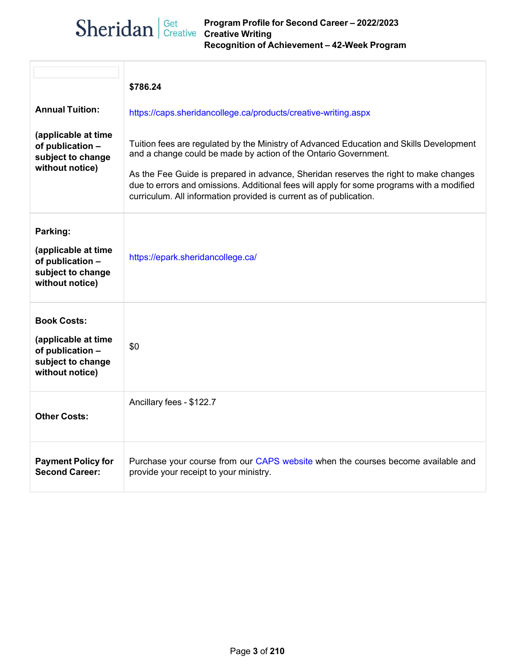| $\text{Sheridan}$ Get Program Profile f | Program Profile for Second Career - 2022/2023 |
|-----------------------------------------|-----------------------------------------------|
|                                         | Recognition of Achievement - 42-Week Program  |

| <b>Annual Tuition:</b><br>(applicable at time<br>of publication -<br>subject to change<br>without notice) | \$786.24<br>https://caps.sheridancollege.ca/products/creative-writing.aspx<br>Tuition fees are regulated by the Ministry of Advanced Education and Skills Development<br>and a change could be made by action of the Ontario Government.<br>As the Fee Guide is prepared in advance, Sheridan reserves the right to make changes<br>due to errors and omissions. Additional fees will apply for some programs with a modified<br>curriculum. All information provided is current as of publication. |
|-----------------------------------------------------------------------------------------------------------|-----------------------------------------------------------------------------------------------------------------------------------------------------------------------------------------------------------------------------------------------------------------------------------------------------------------------------------------------------------------------------------------------------------------------------------------------------------------------------------------------------|
| Parking:<br>(applicable at time<br>of publication -<br>subject to change<br>without notice)               | https://epark.sheridancollege.ca/                                                                                                                                                                                                                                                                                                                                                                                                                                                                   |
| <b>Book Costs:</b><br>(applicable at time<br>of publication -<br>subject to change<br>without notice)     | \$0                                                                                                                                                                                                                                                                                                                                                                                                                                                                                                 |
| <b>Other Costs:</b>                                                                                       | Ancillary fees - \$122.7                                                                                                                                                                                                                                                                                                                                                                                                                                                                            |
| <b>Payment Policy for</b><br><b>Second Career:</b>                                                        | Purchase your course from our CAPS website when the courses become available and<br>provide your receipt to your ministry.                                                                                                                                                                                                                                                                                                                                                                          |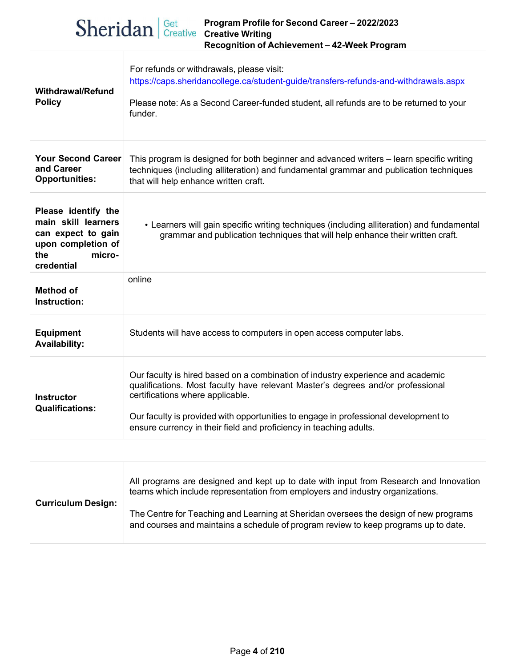## **Program Profile for Second Career – 2022/2023**  $\text{Sheridan}$  Get Program Profile f **Recognition of Achievement – 42-Week Program**

| <b>Withdrawal/Refund</b><br><b>Policy</b>                                                                             | For refunds or withdrawals, please visit:<br>https://caps.sheridancollege.ca/student-guide/transfers-refunds-and-withdrawals.aspx<br>Please note: As a Second Career-funded student, all refunds are to be returned to your<br>funder.                                                                                                                              |  |  |
|-----------------------------------------------------------------------------------------------------------------------|---------------------------------------------------------------------------------------------------------------------------------------------------------------------------------------------------------------------------------------------------------------------------------------------------------------------------------------------------------------------|--|--|
| <b>Your Second Career</b><br>and Career<br><b>Opportunities:</b>                                                      | This program is designed for both beginner and advanced writers - learn specific writing<br>techniques (including alliteration) and fundamental grammar and publication techniques<br>that will help enhance written craft.                                                                                                                                         |  |  |
| Please identify the<br>main skill learners<br>can expect to gain<br>upon completion of<br>the<br>micro-<br>credential | • Learners will gain specific writing techniques (including alliteration) and fundamental<br>grammar and publication techniques that will help enhance their written craft.                                                                                                                                                                                         |  |  |
| <b>Method of</b><br>Instruction:                                                                                      | online                                                                                                                                                                                                                                                                                                                                                              |  |  |
| <b>Equipment</b><br><b>Availability:</b>                                                                              | Students will have access to computers in open access computer labs.                                                                                                                                                                                                                                                                                                |  |  |
| <b>Instructor</b><br><b>Qualifications:</b>                                                                           | Our faculty is hired based on a combination of industry experience and academic<br>qualifications. Most faculty have relevant Master's degrees and/or professional<br>certifications where applicable.<br>Our faculty is provided with opportunities to engage in professional development to<br>ensure currency in their field and proficiency in teaching adults. |  |  |

| <b>Curriculum Design:</b> | All programs are designed and kept up to date with input from Research and Innovation<br>teams which include representation from employers and industry organizations.      |  |  |  |  |
|---------------------------|-----------------------------------------------------------------------------------------------------------------------------------------------------------------------------|--|--|--|--|
|                           | The Centre for Teaching and Learning at Sheridan oversees the design of new programs<br>and courses and maintains a schedule of program review to keep programs up to date. |  |  |  |  |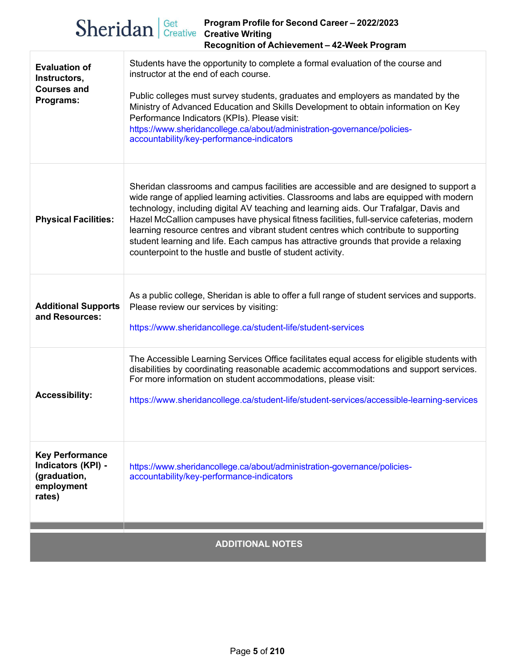|                                                                                      | Sheridan Get Program Profile 1<br>Program Profile for Second Career - 2022/2023<br>Recognition of Achievement - 42-Week Program                                                                                                                                                                                                                                                                                                                                                                                                                                                                                         |
|--------------------------------------------------------------------------------------|-------------------------------------------------------------------------------------------------------------------------------------------------------------------------------------------------------------------------------------------------------------------------------------------------------------------------------------------------------------------------------------------------------------------------------------------------------------------------------------------------------------------------------------------------------------------------------------------------------------------------|
| <b>Evaluation of</b><br>Instructors,<br><b>Courses and</b><br>Programs:              | Students have the opportunity to complete a formal evaluation of the course and<br>instructor at the end of each course.<br>Public colleges must survey students, graduates and employers as mandated by the<br>Ministry of Advanced Education and Skills Development to obtain information on Key<br>Performance Indicators (KPIs). Please visit:<br>https://www.sheridancollege.ca/about/administration-governance/policies-<br>accountability/key-performance-indicators                                                                                                                                             |
| <b>Physical Facilities:</b>                                                          | Sheridan classrooms and campus facilities are accessible and are designed to support a<br>wide range of applied learning activities. Classrooms and labs are equipped with modern<br>technology, including digital AV teaching and learning aids. Our Trafalgar, Davis and<br>Hazel McCallion campuses have physical fitness facilities, full-service cafeterias, modern<br>learning resource centres and vibrant student centres which contribute to supporting<br>student learning and life. Each campus has attractive grounds that provide a relaxing<br>counterpoint to the hustle and bustle of student activity. |
| <b>Additional Supports</b><br>and Resources:                                         | As a public college, Sheridan is able to offer a full range of student services and supports.<br>Please review our services by visiting:<br>https://www.sheridancollege.ca/student-life/student-services                                                                                                                                                                                                                                                                                                                                                                                                                |
| <b>Accessibility:</b>                                                                | The Accessible Learning Services Office facilitates equal access for eligible students with<br>disabilities by coordinating reasonable academic accommodations and support services.<br>For more information on student accommodations, please visit:<br>https://www.sheridancollege.ca/student-life/student-services/accessible-learning-services                                                                                                                                                                                                                                                                      |
| <b>Key Performance</b><br>Indicators (KPI) -<br>(graduation,<br>employment<br>rates) | https://www.sheridancollege.ca/about/administration-governance/policies-<br>accountability/key-performance-indicators                                                                                                                                                                                                                                                                                                                                                                                                                                                                                                   |
|                                                                                      |                                                                                                                                                                                                                                                                                                                                                                                                                                                                                                                                                                                                                         |

## **ADDITIONAL NOTES**